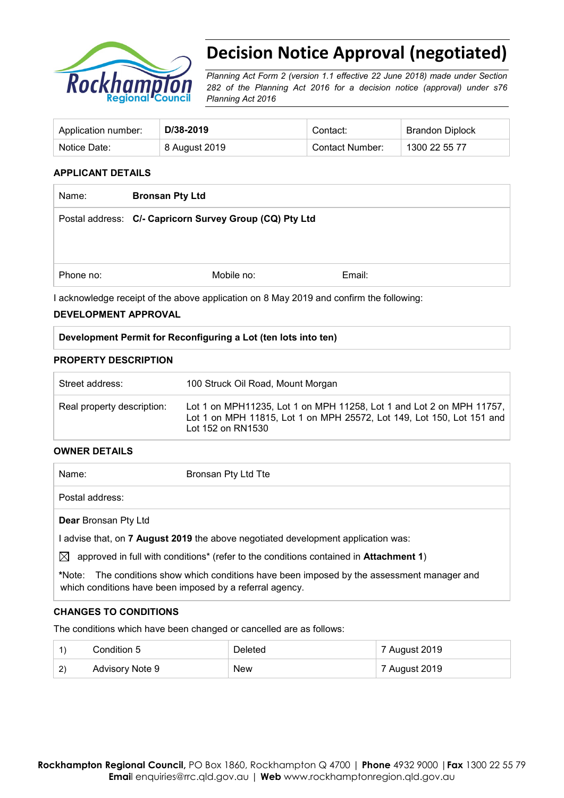

# **Decision Notice Approval (negotiated)**

*Planning Act Form 2 (version 1.1 effective 22 June 2018) made under Section 282 of the Planning Act 2016 for a decision notice (approval) under s76 Planning Act 2016*

| Application number: | D/38-2019     | Contact:        | <b>Brandon Diplock</b> |
|---------------------|---------------|-----------------|------------------------|
| Notice Date:        | 8 August 2019 | Contact Number: | 1300 22 55 77          |

### **APPLICANT DETAILS**

| Name:     | <b>Bronsan Pty Ltd</b>                                                                                                                                                                                                                                                                                                                                                                                                                                       |        |
|-----------|--------------------------------------------------------------------------------------------------------------------------------------------------------------------------------------------------------------------------------------------------------------------------------------------------------------------------------------------------------------------------------------------------------------------------------------------------------------|--------|
|           | Postal address: C/- Capricorn Survey Group (CQ) Pty Ltd                                                                                                                                                                                                                                                                                                                                                                                                      |        |
|           |                                                                                                                                                                                                                                                                                                                                                                                                                                                              |        |
|           |                                                                                                                                                                                                                                                                                                                                                                                                                                                              |        |
| Phone no: | Mobile no:                                                                                                                                                                                                                                                                                                                                                                                                                                                   | Email: |
|           | $\mathcal{L} = \mathcal{L} = \mathcal{L} = \mathcal{L} = \mathcal{L} = \mathcal{L} = \mathcal{L} = \mathcal{L} = \mathcal{L} = \mathcal{L} = \mathcal{L} = \mathcal{L} = \mathcal{L} = \mathcal{L} = \mathcal{L} = \mathcal{L} = \mathcal{L} = \mathcal{L} = \mathcal{L} = \mathcal{L} = \mathcal{L} = \mathcal{L} = \mathcal{L} = \mathcal{L} = \mathcal{L} = \mathcal{L} = \mathcal{L} = \mathcal{L} = \mathcal{L} = \mathcal{L} = \mathcal{L} = \mathcal$ |        |

I acknowledge receipt of the above application on 8 May 2019 and confirm the following:

#### **DEVELOPMENT APPROVAL**

#### **Development Permit for Reconfiguring a Lot (ten lots into ten)**

#### **PROPERTY DESCRIPTION**

| Street address:            | 100 Struck Oil Road, Mount Morgan                                                                                                                                  |
|----------------------------|--------------------------------------------------------------------------------------------------------------------------------------------------------------------|
| Real property description: | Lot 1 on MPH11235, Lot 1 on MPH 11258, Lot 1 and Lot 2 on MPH 11757,<br>Lot 1 on MPH 11815, Lot 1 on MPH 25572, Lot 149, Lot 150, Lot 151 and<br>Lot 152 on RN1530 |

## **OWNER DETAILS**

| Name:                       | Bronsan Pty Ltd Tte                                                                                                                              |
|-----------------------------|--------------------------------------------------------------------------------------------------------------------------------------------------|
| Postal address:             |                                                                                                                                                  |
| <b>Dear</b> Bronsan Pty Ltd |                                                                                                                                                  |
|                             | advise that, on 7 August 2019 the above negotiated development application was:                                                                  |
| $\boxtimes$                 | approved in full with conditions <sup>*</sup> (refer to the conditions contained in <b>Attachment 1</b> )                                        |
| *Note:                      | The conditions show which conditions have been imposed by the assessment manager and<br>which conditions have been imposed by a referral agency. |

#### **CHANGES TO CONDITIONS**

The conditions which have been changed or cancelled are as follows:

|              | Condition 5            | Deleted    | 7 August 2019 |
|--------------|------------------------|------------|---------------|
| $\mathbf{2}$ | <b>Advisory Note 9</b> | <b>New</b> | 7 August 2019 |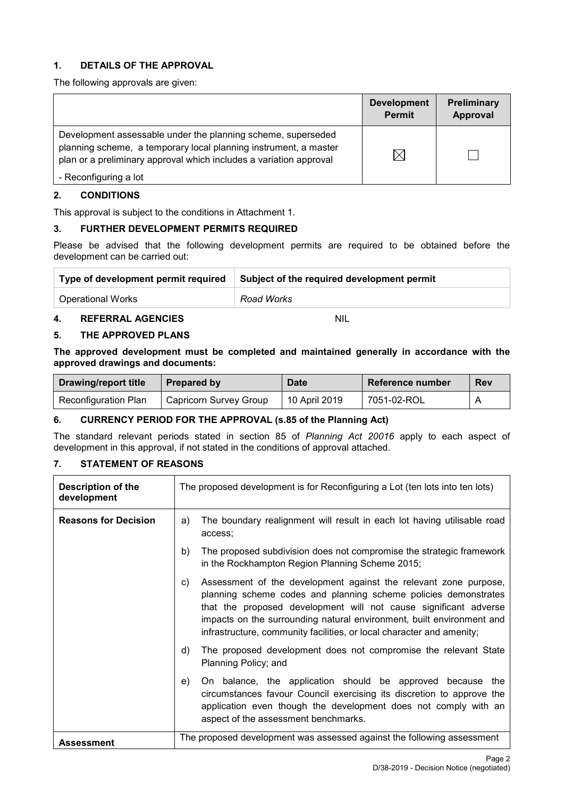## **1. DETAILS OF THE APPROVAL**

The following approvals are given:

|                                                                                                                                                                                                        | <b>Development</b><br><b>Permit</b> | <b>Preliminary</b><br>Approval |
|--------------------------------------------------------------------------------------------------------------------------------------------------------------------------------------------------------|-------------------------------------|--------------------------------|
| Development assessable under the planning scheme, superseded<br>planning scheme, a temporary local planning instrument, a master<br>plan or a preliminary approval which includes a variation approval | $\boxtimes$                         |                                |
| - Reconfiguring a lot                                                                                                                                                                                  |                                     |                                |

### **2. CONDITIONS**

This approval is subject to the conditions in Attachment 1.

#### **3. FURTHER DEVELOPMENT PERMITS REQUIRED**

Please be advised that the following development permits are required to be obtained before the development can be carried out:

| Type of development permit required | Subject of the required development permit |  |
|-------------------------------------|--------------------------------------------|--|
| <b>Operational Works</b>            | Road Works                                 |  |
| <b>REFERRAL AGENCIES</b><br>4.      | NIL                                        |  |

# **5. THE APPROVED PLANS**

**The approved development must be completed and maintained generally in accordance with the approved drawings and documents:**

| <b>Drawing/report title</b> | <b>Prepared by</b>     | <b>Date</b>   | Reference number | Rev |
|-----------------------------|------------------------|---------------|------------------|-----|
| Reconfiguration Plan        | Capricorn Survey Group | 10 April 2019 | 7051-02-ROL      |     |

### **6. CURRENCY PERIOD FOR THE APPROVAL (s.85 of the Planning Act)**

The standard relevant periods stated in section 85 of *Planning Act 20016* apply to each aspect of development in this approval, if not stated in the conditions of approval attached.

## **7. STATEMENT OF REASONS**

| <b>Description of the</b><br>development | The proposed development is for Reconfiguring a Lot (ten lots into ten lots)                                                                                                                                                                                                                                                                                    |  |  |
|------------------------------------------|-----------------------------------------------------------------------------------------------------------------------------------------------------------------------------------------------------------------------------------------------------------------------------------------------------------------------------------------------------------------|--|--|
| <b>Reasons for Decision</b>              | The boundary realignment will result in each lot having utilisable road<br>a)<br>access:                                                                                                                                                                                                                                                                        |  |  |
|                                          | The proposed subdivision does not compromise the strategic framework<br>b)<br>in the Rockhampton Region Planning Scheme 2015;                                                                                                                                                                                                                                   |  |  |
|                                          | Assessment of the development against the relevant zone purpose,<br>C)<br>planning scheme codes and planning scheme policies demonstrates<br>that the proposed development will not cause significant adverse<br>impacts on the surrounding natural environment, built environment and<br>infrastructure, community facilities, or local character and amenity; |  |  |
|                                          | The proposed development does not compromise the relevant State<br>d)<br>Planning Policy; and                                                                                                                                                                                                                                                                   |  |  |
|                                          | On balance, the application should be approved because the<br>e)<br>circumstances favour Council exercising its discretion to approve the<br>application even though the development does not comply with an<br>aspect of the assessment benchmarks.                                                                                                            |  |  |
| <b>Assessment</b>                        | The proposed development was assessed against the following assessment                                                                                                                                                                                                                                                                                          |  |  |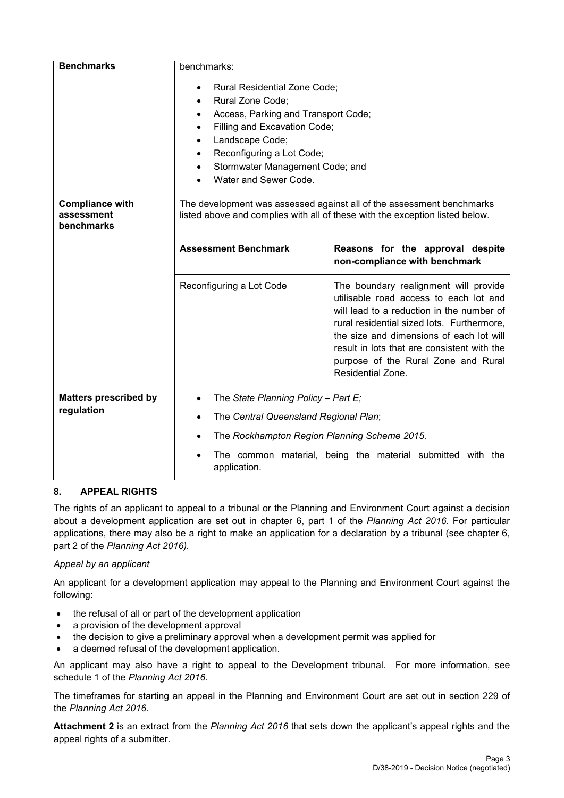| <b>Benchmarks</b>                                  | benchmarks:                                                                                                                                           |                                                                                                                                                                                                                                                                                                                                   |  |
|----------------------------------------------------|-------------------------------------------------------------------------------------------------------------------------------------------------------|-----------------------------------------------------------------------------------------------------------------------------------------------------------------------------------------------------------------------------------------------------------------------------------------------------------------------------------|--|
|                                                    | Rural Residential Zone Code;                                                                                                                          |                                                                                                                                                                                                                                                                                                                                   |  |
|                                                    | Rural Zone Code;                                                                                                                                      |                                                                                                                                                                                                                                                                                                                                   |  |
|                                                    | Access, Parking and Transport Code;<br>$\bullet$                                                                                                      |                                                                                                                                                                                                                                                                                                                                   |  |
|                                                    | Filling and Excavation Code;<br>٠                                                                                                                     |                                                                                                                                                                                                                                                                                                                                   |  |
|                                                    | Landscape Code;                                                                                                                                       |                                                                                                                                                                                                                                                                                                                                   |  |
|                                                    | Reconfiguring a Lot Code;                                                                                                                             |                                                                                                                                                                                                                                                                                                                                   |  |
|                                                    | Stormwater Management Code; and                                                                                                                       |                                                                                                                                                                                                                                                                                                                                   |  |
|                                                    | Water and Sewer Code.                                                                                                                                 |                                                                                                                                                                                                                                                                                                                                   |  |
| <b>Compliance with</b><br>assessment<br>benchmarks | The development was assessed against all of the assessment benchmarks<br>listed above and complies with all of these with the exception listed below. |                                                                                                                                                                                                                                                                                                                                   |  |
|                                                    | <b>Assessment Benchmark</b>                                                                                                                           | Reasons for the approval despite<br>non-compliance with benchmark                                                                                                                                                                                                                                                                 |  |
|                                                    | Reconfiguring a Lot Code                                                                                                                              | The boundary realignment will provide<br>utilisable road access to each lot and<br>will lead to a reduction in the number of<br>rural residential sized lots. Furthermore,<br>the size and dimensions of each lot will<br>result in lots that are consistent with the<br>purpose of the Rural Zone and Rural<br>Residential Zone. |  |
| <b>Matters prescribed by</b>                       | The State Planning Policy - Part E;<br>$\bullet$                                                                                                      |                                                                                                                                                                                                                                                                                                                                   |  |
| regulation                                         | The Central Queensland Regional Plan;                                                                                                                 |                                                                                                                                                                                                                                                                                                                                   |  |
|                                                    | The Rockhampton Region Planning Scheme 2015.                                                                                                          |                                                                                                                                                                                                                                                                                                                                   |  |
|                                                    |                                                                                                                                                       |                                                                                                                                                                                                                                                                                                                                   |  |
|                                                    | The common material, being the material submitted with the<br>application.                                                                            |                                                                                                                                                                                                                                                                                                                                   |  |

## **8. APPEAL RIGHTS**

The rights of an applicant to appeal to a tribunal or the Planning and Environment Court against a decision about a development application are set out in chapter 6, part 1 of the *Planning Act 2016*. For particular applications, there may also be a right to make an application for a declaration by a tribunal (see chapter 6, part 2 of the *Planning Act 2016).*

#### *Appeal by an applicant*

An applicant for a development application may appeal to the Planning and Environment Court against the following:

- the refusal of all or part of the development application
- a provision of the development approval
- the decision to give a preliminary approval when a development permit was applied for
- a deemed refusal of the development application.

An applicant may also have a right to appeal to the Development tribunal. For more information, see schedule 1 of the *Planning Act 2016*.

The timeframes for starting an appeal in the Planning and Environment Court are set out in section 229 of the *Planning Act 2016*.

**Attachment 2** is an extract from the *Planning Act 2016* that sets down the applicant's appeal rights and the appeal rights of a submitter.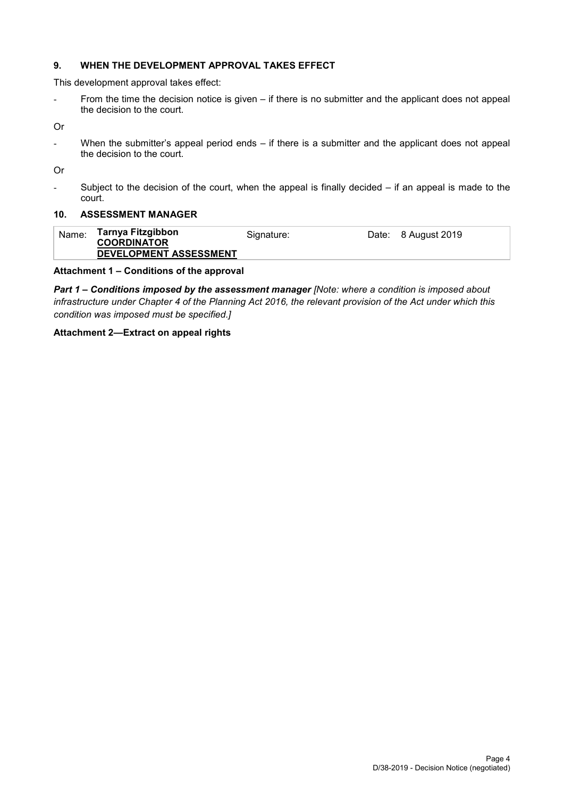### **9. WHEN THE DEVELOPMENT APPROVAL TAKES EFFECT**

This development approval takes effect:

- From the time the decision notice is given – if there is no submitter and the applicant does not appeal the decision to the court.

Or

- When the submitter's appeal period ends – if there is a submitter and the applicant does not appeal the decision to the court.

Or

- Subject to the decision of the court, when the appeal is finally decided – if an appeal is made to the court.

#### **10. ASSESSMENT MANAGER**

| Tarnya Fitzgibbon<br>Name:<br>Date: 8 August 2019<br>Signature:<br><b>COORDINATOR</b><br>DEVELOPMENT ASSESSMENT |
|-----------------------------------------------------------------------------------------------------------------|
|-----------------------------------------------------------------------------------------------------------------|

#### **Attachment 1 – Conditions of the approval**

*Part 1* **–** *Conditions imposed by the assessment manager [Note: where a condition is imposed about infrastructure under Chapter 4 of the Planning Act 2016, the relevant provision of the Act under which this condition was imposed must be specified.]*

#### **Attachment 2—Extract on appeal rights**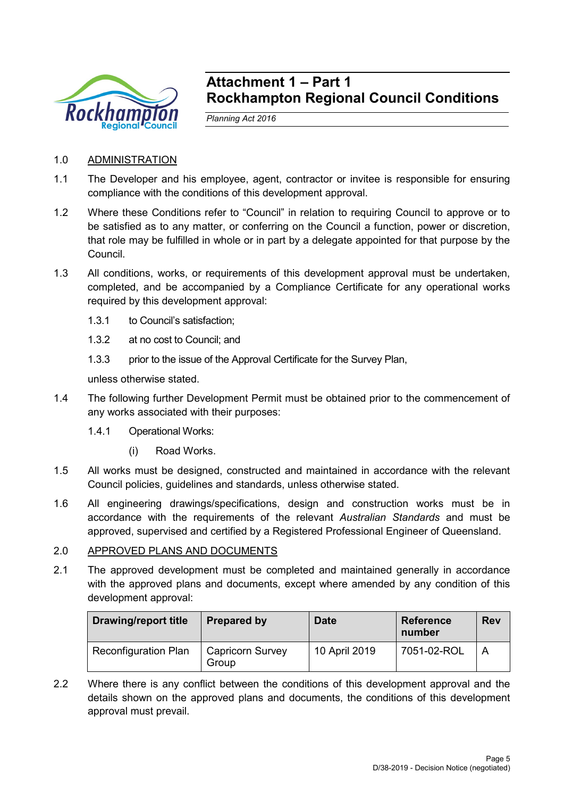

## **Attachment 1 – Part 1 Rockhampton Regional Council Conditions**

*Planning Act 2016*

## 1.0 ADMINISTRATION

- 1.1 The Developer and his employee, agent, contractor or invitee is responsible for ensuring compliance with the conditions of this development approval.
- 1.2 Where these Conditions refer to "Council" in relation to requiring Council to approve or to be satisfied as to any matter, or conferring on the Council a function, power or discretion, that role may be fulfilled in whole or in part by a delegate appointed for that purpose by the Council.
- 1.3 All conditions, works, or requirements of this development approval must be undertaken, completed, and be accompanied by a Compliance Certificate for any operational works required by this development approval:
	- 1.3.1 to Council's satisfaction;
	- 1.3.2 at no cost to Council; and
	- 1.3.3 prior to the issue of the Approval Certificate for the Survey Plan,

unless otherwise stated.

- 1.4 The following further Development Permit must be obtained prior to the commencement of any works associated with their purposes:
	- 1.4.1 Operational Works:
		- (i) Road Works.
- 1.5 All works must be designed, constructed and maintained in accordance with the relevant Council policies, guidelines and standards, unless otherwise stated.
- 1.6 All engineering drawings/specifications, design and construction works must be in accordance with the requirements of the relevant *Australian Standards* and must be approved, supervised and certified by a Registered Professional Engineer of Queensland.

## 2.0 APPROVED PLANS AND DOCUMENTS

2.1 The approved development must be completed and maintained generally in accordance with the approved plans and documents, except where amended by any condition of this development approval:

| <b>Drawing/report title</b> | <b>Prepared by</b>               | <b>Date</b>   | <b>Reference</b><br>number | <b>Rev</b>     |
|-----------------------------|----------------------------------|---------------|----------------------------|----------------|
| <b>Reconfiguration Plan</b> | <b>Capricorn Survey</b><br>Group | 10 April 2019 | 7051-02-ROL                | $\overline{A}$ |

2.2 Where there is any conflict between the conditions of this development approval and the details shown on the approved plans and documents, the conditions of this development approval must prevail.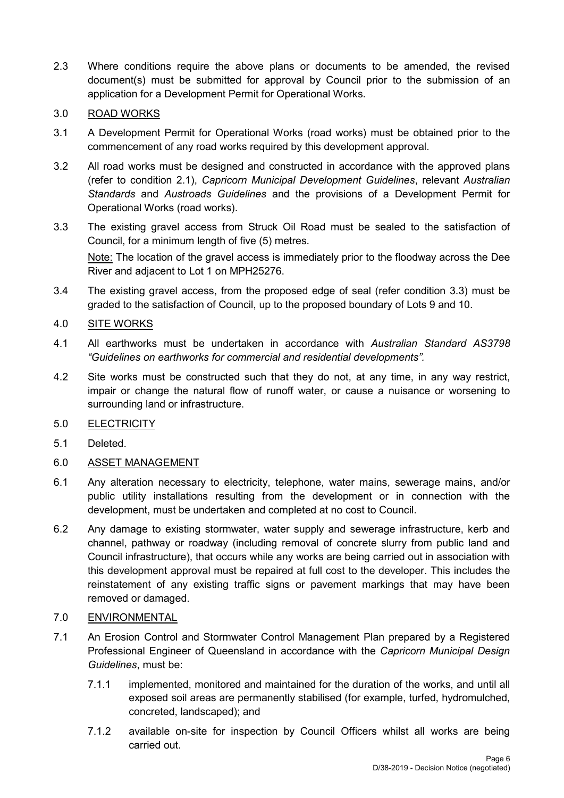2.3 Where conditions require the above plans or documents to be amended, the revised document(s) must be submitted for approval by Council prior to the submission of an application for a Development Permit for Operational Works.

## 3.0 ROAD WORKS

- 3.1 A Development Permit for Operational Works (road works) must be obtained prior to the commencement of any road works required by this development approval.
- 3.2 All road works must be designed and constructed in accordance with the approved plans (refer to condition 2.1), *Capricorn Municipal Development Guidelines*, relevant *Australian Standards* and *Austroads Guidelines* and the provisions of a Development Permit for Operational Works (road works).
- 3.3 The existing gravel access from Struck Oil Road must be sealed to the satisfaction of Council, for a minimum length of five (5) metres.

Note: The location of the gravel access is immediately prior to the floodway across the Dee River and adjacent to Lot 1 on MPH25276.

3.4 The existing gravel access, from the proposed edge of seal (refer condition 3.3) must be graded to the satisfaction of Council, up to the proposed boundary of Lots 9 and 10.

## 4.0 SITE WORKS

- 4.1 All earthworks must be undertaken in accordance with *Australian Standard AS3798 "Guidelines on earthworks for commercial and residential developments".*
- 4.2 Site works must be constructed such that they do not, at any time, in any way restrict, impair or change the natural flow of runoff water, or cause a nuisance or worsening to surrounding land or infrastructure.

## 5.0 ELECTRICITY

5.1 Deleted.

## 6.0 ASSET MANAGEMENT

- 6.1 Any alteration necessary to electricity, telephone, water mains, sewerage mains, and/or public utility installations resulting from the development or in connection with the development, must be undertaken and completed at no cost to Council.
- 6.2 Any damage to existing stormwater, water supply and sewerage infrastructure, kerb and channel, pathway or roadway (including removal of concrete slurry from public land and Council infrastructure), that occurs while any works are being carried out in association with this development approval must be repaired at full cost to the developer. This includes the reinstatement of any existing traffic signs or pavement markings that may have been removed or damaged.

## 7.0 ENVIRONMENTAL

- 7.1 An Erosion Control and Stormwater Control Management Plan prepared by a Registered Professional Engineer of Queensland in accordance with the *Capricorn Municipal Design Guidelines*, must be:
	- 7.1.1 implemented, monitored and maintained for the duration of the works, and until all exposed soil areas are permanently stabilised (for example, turfed, hydromulched, concreted, landscaped); and
	- 7.1.2 available on-site for inspection by Council Officers whilst all works are being carried out.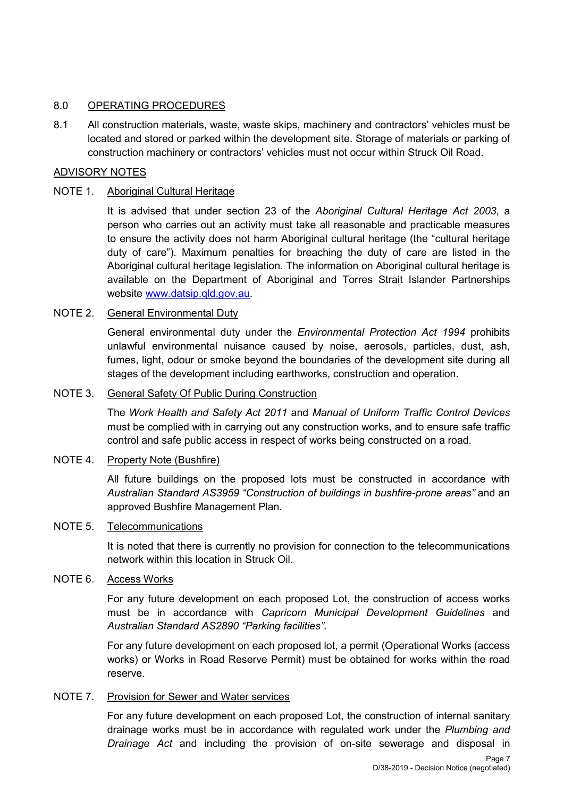## 8.0 OPERATING PROCEDURES

8.1 All construction materials, waste, waste skips, machinery and contractors' vehicles must be located and stored or parked within the development site. Storage of materials or parking of construction machinery or contractors' vehicles must not occur within Struck Oil Road.

## ADVISORY NOTES

## NOTE 1. Aboriginal Cultural Heritage

It is advised that under section 23 of the *Aboriginal Cultural Heritage Act 2003*, a person who carries out an activity must take all reasonable and practicable measures to ensure the activity does not harm Aboriginal cultural heritage (the "cultural heritage duty of care"). Maximum penalties for breaching the duty of care are listed in the Aboriginal cultural heritage legislation. The information on Aboriginal cultural heritage is available on the Department of Aboriginal and Torres Strait Islander Partnerships website [www.datsip.qld.gov.au.](http://www.datsip.qld.gov.au/)

## NOTE 2. General Environmental Duty

General environmental duty under the *Environmental Protection Act 1994* prohibits unlawful environmental nuisance caused by noise, aerosols, particles, dust, ash, fumes, light, odour or smoke beyond the boundaries of the development site during all stages of the development including earthworks, construction and operation.

## NOTE 3. General Safety Of Public During Construction

The *Work Health and Safety Act 2011* and *Manual of Uniform Traffic Control Devices* must be complied with in carrying out any construction works, and to ensure safe traffic control and safe public access in respect of works being constructed on a road.

## NOTE 4. Property Note (Bushfire)

All future buildings on the proposed lots must be constructed in accordance with *Australian Standard AS3959 "Construction of buildings in bushfire-prone areas"* and an approved Bushfire Management Plan.

## NOTE 5. Telecommunications

It is noted that there is currently no provision for connection to the telecommunications network within this location in Struck Oil.

## NOTE 6. Access Works

For any future development on each proposed Lot, the construction of access works must be in accordance with *Capricorn Municipal Development Guidelines* and *Australian Standard AS2890 "Parking facilities"*.

For any future development on each proposed lot, a permit (Operational Works (access works) or Works in Road Reserve Permit) must be obtained for works within the road reserve.

## NOTE 7. Provision for Sewer and Water services

For any future development on each proposed Lot, the construction of internal sanitary drainage works must be in accordance with regulated work under the *Plumbing and Drainage Act* and including the provision of on-site sewerage and disposal in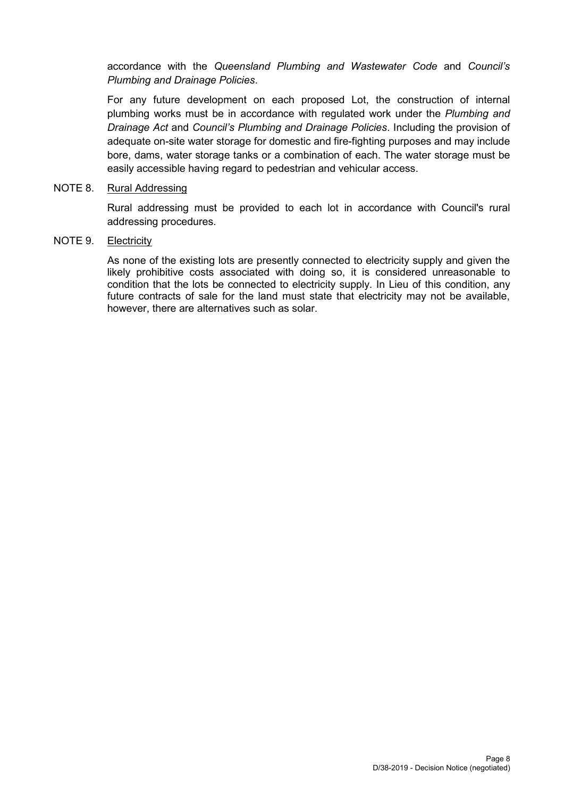accordance with the *Queensland Plumbing and Wastewater Code* and *Council's Plumbing and Drainage Policies*.

For any future development on each proposed Lot, the construction of internal plumbing works must be in accordance with regulated work under the *Plumbing and Drainage Act* and *Council's Plumbing and Drainage Policies*. Including the provision of adequate on-site water storage for domestic and fire-fighting purposes and may include bore, dams, water storage tanks or a combination of each. The water storage must be easily accessible having regard to pedestrian and vehicular access.

#### NOTE 8. Rural Addressing

Rural addressing must be provided to each lot in accordance with Council's rural addressing procedures.

#### NOTE 9. Electricity

As none of the existing lots are presently connected to electricity supply and given the likely prohibitive costs associated with doing so, it is considered unreasonable to condition that the lots be connected to electricity supply. In Lieu of this condition, any future contracts of sale for the land must state that electricity may not be available, however, there are alternatives such as solar.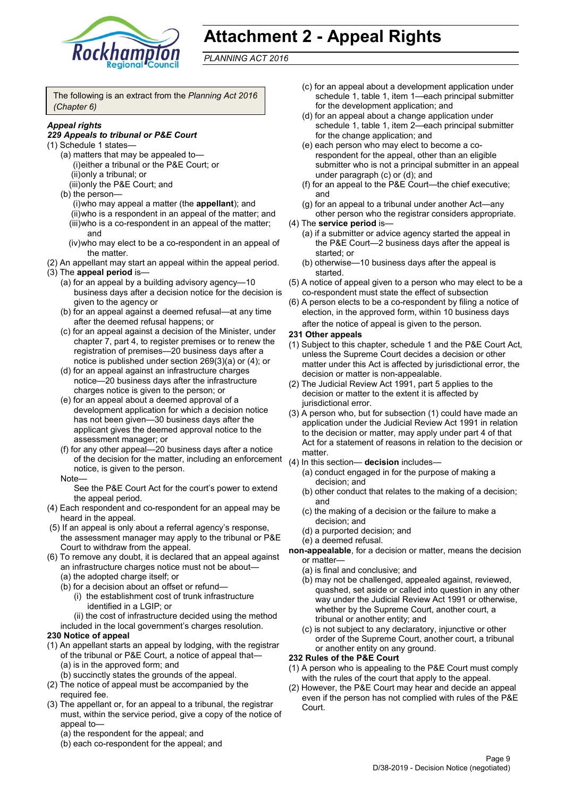

# **Attachment 2 - Appeal Rights**

*PLANNING ACT 2016*

The following is an extract from the *Planning Act 2016 (Chapter 6)*

#### *Appeal rights*

#### *229 Appeals to tribunal or P&E Court*

- (1) Schedule 1 states—
	- (a) matters that may be appealed to— (i)either a tribunal or the P&E Court; or (ii)only a tribunal; or
	- (iii)only the P&E Court; and
	- (b) the person— (i)who may appeal a matter (the **appellant**); and (ii)who is a respondent in an appeal of the matter; and (iii)who is a co-respondent in an appeal of the matter; and
		- (iv)who may elect to be a co-respondent in an appeal of the matter.
- (2) An appellant may start an appeal within the appeal period. (3) The **appeal period** is—
	- (a) for an appeal by a building advisory agency—10 business days after a decision notice for the decision is given to the agency or
	- (b) for an appeal against a deemed refusal—at any time after the deemed refusal happens; or
	- (c) for an appeal against a decision of the Minister, under chapter 7, part 4, to register premises or to renew the registration of premises—20 business days after a notice is published under section 269(3)(a) or (4); or
	- (d) for an appeal against an infrastructure charges notice—20 business days after the infrastructure charges notice is given to the person; or
	- (e) for an appeal about a deemed approval of a development application for which a decision notice has not been given—30 business days after the applicant gives the deemed approval notice to the assessment manager; or
	- (f) for any other appeal—20 business days after a notice of the decision for the matter, including an enforcement notice, is given to the person.

#### Note—

See the P&E Court Act for the court's power to extend the appeal period.

- (4) Each respondent and co-respondent for an appeal may be heard in the appeal.
- (5) If an appeal is only about a referral agency's response, the assessment manager may apply to the tribunal or P&E Court to withdraw from the appeal.
- (6) To remove any doubt, it is declared that an appeal against an infrastructure charges notice must not be about—
	- (a) the adopted charge itself; or
	- (b) for a decision about an offset or refund—
		- (i) the establishment cost of trunk infrastructure identified in a LGIP; or

(ii) the cost of infrastructure decided using the method included in the local government's charges resolution.

### **230 Notice of appeal**

- (1) An appellant starts an appeal by lodging, with the registrar of the tribunal or P&E Court, a notice of appeal that—
	- (a) is in the approved form; and
	- (b) succinctly states the grounds of the appeal.
- (2) The notice of appeal must be accompanied by the required fee.
- (3) The appellant or, for an appeal to a tribunal, the registrar must, within the service period, give a copy of the notice of appeal to—
	- (a) the respondent for the appeal; and
	- (b) each co-respondent for the appeal; and
- (c) for an appeal about a development application under schedule 1, table 1, item 1—each principal submitter for the development application; and
- (d) for an appeal about a change application under schedule 1, table 1, item 2—each principal submitter for the change application; and
- (e) each person who may elect to become a corespondent for the appeal, other than an eligible submitter who is not a principal submitter in an appeal under paragraph (c) or (d); and
- (f) for an appeal to the P&E Court—the chief executive; and
- (g) for an appeal to a tribunal under another Act—any other person who the registrar considers appropriate.
- (4) The **service period** is—
	- (a) if a submitter or advice agency started the appeal in the P&E Court—2 business days after the appeal is started; or
	- (b) otherwise—10 business days after the appeal is started.
- (5) A notice of appeal given to a person who may elect to be a co-respondent must state the effect of subsection
- (6) A person elects to be a co-respondent by filing a notice of election, in the approved form, within 10 business days after the notice of appeal is given to the person*.*

#### **231 Other appeals**

- (1) Subject to this chapter, schedule 1 and the P&E Court Act, unless the Supreme Court decides a decision or other matter under this Act is affected by jurisdictional error, the decision or matter is non-appealable.
- (2) The Judicial Review Act 1991, part 5 applies to the decision or matter to the extent it is affected by jurisdictional error.
- (3) A person who, but for subsection (1) could have made an application under the Judicial Review Act 1991 in relation to the decision or matter, may apply under part 4 of that Act for a statement of reasons in relation to the decision or matter.
- (4) In this section— **decision** includes—
	- (a) conduct engaged in for the purpose of making a decision; and
	- (b) other conduct that relates to the making of a decision; and
	- (c) the making of a decision or the failure to make a decision; and
	- (d) a purported decision; and
	- (e) a deemed refusal.
- **non-appealable**, for a decision or matter, means the decision or matter—
	- (a) is final and conclusive; and
	- (b) may not be challenged, appealed against, reviewed, quashed, set aside or called into question in any other way under the Judicial Review Act 1991 or otherwise, whether by the Supreme Court, another court, a tribunal or another entity; and
	- (c) is not subject to any declaratory, injunctive or other order of the Supreme Court, another court, a tribunal or another entity on any ground.

#### **232 Rules of the P&E Court**

- (1) A person who is appealing to the P&E Court must comply with the rules of the court that apply to the appeal.
- (2) However, the P&E Court may hear and decide an appeal even if the person has not complied with rules of the P&E Court.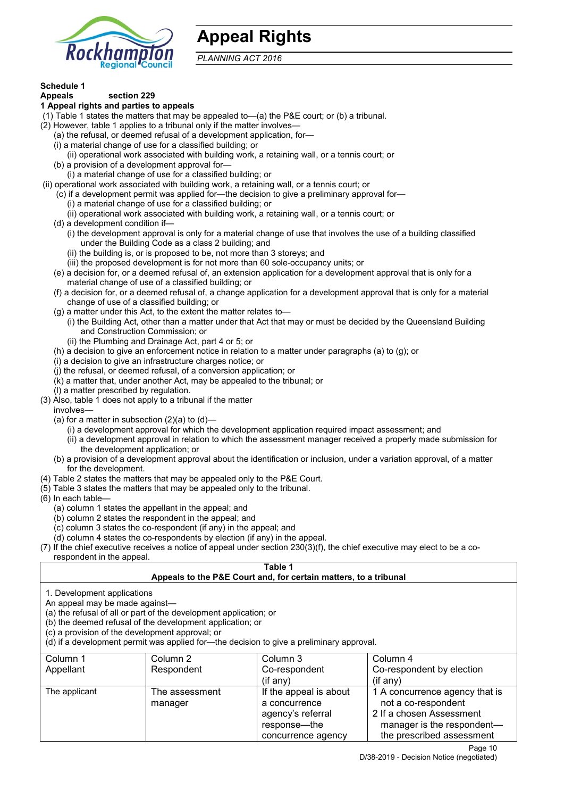

## **Appeal Rights**

*PLANNING ACT 2016*

# **Schedule 1**

#### **Appeals section 229 1 Appeal rights and parties to appeals**

- (1) Table 1 states the matters that may be appealed to—(a) the P&E court; or (b) a tribunal.
- (2) However, table 1 applies to a tribunal only if the matter involves—
	- (a) the refusal, or deemed refusal of a development application, for—
	- (i) a material change of use for a classified building; or
	- (ii) operational work associated with building work, a retaining wall, or a tennis court; or (b) a provision of a development approval for—
	- (i) a material change of use for a classified building; or
- (ii) operational work associated with building work, a retaining wall, or a tennis court; or
	- (c) if a development permit was applied for—the decision to give a preliminary approval for—
		- (i) a material change of use for a classified building; or
		- (ii) operational work associated with building work, a retaining wall, or a tennis court; or
	- (d) a development condition if—
		- (i) the development approval is only for a material change of use that involves the use of a building classified under the Building Code as a class 2 building; and
		- (ii) the building is, or is proposed to be, not more than 3 storeys; and
		- (iii) the proposed development is for not more than 60 sole-occupancy units; or
	- (e) a decision for, or a deemed refusal of, an extension application for a development approval that is only for a material change of use of a classified building; or
	- (f) a decision for, or a deemed refusal of, a change application for a development approval that is only for a material change of use of a classified building; or
	- (g) a matter under this Act, to the extent the matter relates to—
		- (i) the Building Act, other than a matter under that Act that may or must be decided by the Queensland Building and Construction Commission; or
			- (ii) the Plumbing and Drainage Act, part 4 or 5; or
	- (h) a decision to give an enforcement notice in relation to a matter under paragraphs (a) to (g); or
	- (i) a decision to give an infrastructure charges notice; or
	- (j) the refusal, or deemed refusal, of a conversion application; or
	- (k) a matter that, under another Act, may be appealed to the tribunal; or
	- (l) a matter prescribed by regulation.
- (3) Also, table 1 does not apply to a tribunal if the matter

#### involves—

- (a) for a matter in subsection  $(2)(a)$  to  $(d)$ -
	- (i) a development approval for which the development application required impact assessment; and
	- (ii) a development approval in relation to which the assessment manager received a properly made submission for the development application; or
- (b) a provision of a development approval about the identification or inclusion, under a variation approval, of a matter for the development.
- (4) Table 2 states the matters that may be appealed only to the P&E Court.
- (5) Table 3 states the matters that may be appealed only to the tribunal.
- (6) In each table—
	- (a) column 1 states the appellant in the appeal; and
	- (b) column 2 states the respondent in the appeal; and
	- (c) column 3 states the co-respondent (if any) in the appeal; and
	- (d) column 4 states the co-respondents by election (if any) in the appeal.
- (7) If the chief executive receives a notice of appeal under section 230(3)(f), the chief executive may elect to be a corespondent in the appeal.

## **Table 1**

## **Appeals to the P&E Court and, for certain matters, to a tribunal**

1. Development applications

An appeal may be made against—

(a) the refusal of all or part of the development application; or

(b) the deemed refusal of the development application; or

(c) a provision of the development approval; or

(d) if a development permit was applied for—the decision to give a preliminary approval.

| Column 1      | Column 2                  | Column 3                                                                                           | Column 4                                                                                                                                     |
|---------------|---------------------------|----------------------------------------------------------------------------------------------------|----------------------------------------------------------------------------------------------------------------------------------------------|
| Appellant     | Respondent                | Co-respondent                                                                                      | Co-respondent by election                                                                                                                    |
|               |                           | (if any)                                                                                           | $($ if any $)$                                                                                                                               |
| The applicant | The assessment<br>manager | If the appeal is about<br>a concurrence<br>agency's referral<br>response—the<br>concurrence agency | 1 A concurrence agency that is<br>not a co-respondent<br>2 If a chosen Assessment<br>manager is the respondent-<br>the prescribed assessment |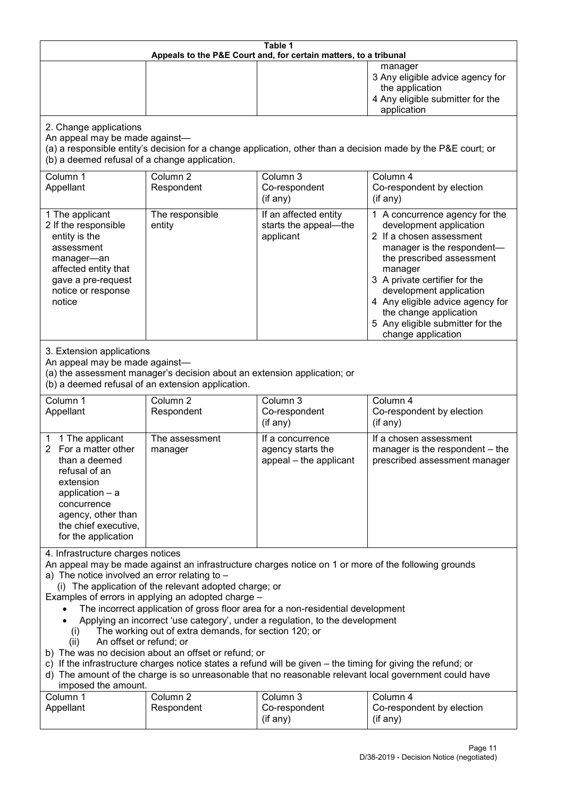| Table 1<br>Appeals to the P&E Court and, for certain matters, to a tribunal                                                                                                                                                                                                                                                                                                                                                                                                                                                                                                                                                                                                                                                                                                                                                                                                               |                                                                                                                               |                                                                 |                                                                                                                                                                                                                                                                                                                                                 |  |
|-------------------------------------------------------------------------------------------------------------------------------------------------------------------------------------------------------------------------------------------------------------------------------------------------------------------------------------------------------------------------------------------------------------------------------------------------------------------------------------------------------------------------------------------------------------------------------------------------------------------------------------------------------------------------------------------------------------------------------------------------------------------------------------------------------------------------------------------------------------------------------------------|-------------------------------------------------------------------------------------------------------------------------------|-----------------------------------------------------------------|-------------------------------------------------------------------------------------------------------------------------------------------------------------------------------------------------------------------------------------------------------------------------------------------------------------------------------------------------|--|
|                                                                                                                                                                                                                                                                                                                                                                                                                                                                                                                                                                                                                                                                                                                                                                                                                                                                                           |                                                                                                                               |                                                                 | manager<br>3 Any eligible advice agency for<br>the application<br>4 Any eligible submitter for the<br>application                                                                                                                                                                                                                               |  |
| 2. Change applications<br>An appeal may be made against-<br>(a) a responsible entity's decision for a change application, other than a decision made by the P&E court; or<br>(b) a deemed refusal of a change application.                                                                                                                                                                                                                                                                                                                                                                                                                                                                                                                                                                                                                                                                |                                                                                                                               |                                                                 |                                                                                                                                                                                                                                                                                                                                                 |  |
| Column 1<br>Appellant                                                                                                                                                                                                                                                                                                                                                                                                                                                                                                                                                                                                                                                                                                                                                                                                                                                                     | Column <sub>2</sub><br>Respondent                                                                                             | Column 3<br>Co-respondent<br>(if any)                           | Column 4<br>Co-respondent by election<br>(if any)                                                                                                                                                                                                                                                                                               |  |
| 1 The applicant<br>2 If the responsible<br>entity is the<br>assessment<br>manager-an<br>affected entity that<br>gave a pre-request<br>notice or response<br>notice                                                                                                                                                                                                                                                                                                                                                                                                                                                                                                                                                                                                                                                                                                                        | The responsible<br>entity                                                                                                     | If an affected entity<br>starts the appeal-the<br>applicant     | 1 A concurrence agency for the<br>development application<br>2 If a chosen assessment<br>manager is the respondent-<br>the prescribed assessment<br>manager<br>3 A private certifier for the<br>development application<br>4 Any eligible advice agency for<br>the change application<br>5 Any eligible submitter for the<br>change application |  |
| 3. Extension applications<br>An appeal may be made against-                                                                                                                                                                                                                                                                                                                                                                                                                                                                                                                                                                                                                                                                                                                                                                                                                               | (a) the assessment manager's decision about an extension application; or<br>(b) a deemed refusal of an extension application. |                                                                 |                                                                                                                                                                                                                                                                                                                                                 |  |
| Column 1<br>Appellant                                                                                                                                                                                                                                                                                                                                                                                                                                                                                                                                                                                                                                                                                                                                                                                                                                                                     | Column <sub>2</sub><br>Respondent                                                                                             | Column 3<br>Co-respondent<br>(if any)                           | Column 4<br>Co-respondent by election<br>(if any)                                                                                                                                                                                                                                                                                               |  |
| 1 The applicant<br>1<br>For a matter other<br>2<br>than a deemed<br>refusal of an<br>extension<br>application $-$ a<br>concurrence<br>agency, other than<br>the chief executive,<br>for the application                                                                                                                                                                                                                                                                                                                                                                                                                                                                                                                                                                                                                                                                                   | The assessment<br>manager                                                                                                     | If a concurrence<br>agency starts the<br>appeal - the applicant | If a chosen assessment<br>manager is the respondent – the<br>prescribed assessment manager                                                                                                                                                                                                                                                      |  |
| 4. Infrastructure charges notices<br>An appeal may be made against an infrastructure charges notice on 1 or more of the following grounds<br>a) The notice involved an error relating to -<br>(i) The application of the relevant adopted charge; or<br>Examples of errors in applying an adopted charge -<br>The incorrect application of gross floor area for a non-residential development<br>Applying an incorrect 'use category', under a regulation, to the development<br>The working out of extra demands, for section 120; or<br>(i)<br>An offset or refund; or<br>(ii)<br>b) The was no decision about an offset or refund; or<br>c) If the infrastructure charges notice states a refund will be given – the timing for giving the refund; or<br>d) The amount of the charge is so unreasonable that no reasonable relevant local government could have<br>imposed the amount. |                                                                                                                               |                                                                 |                                                                                                                                                                                                                                                                                                                                                 |  |
| Column 1<br>Appellant                                                                                                                                                                                                                                                                                                                                                                                                                                                                                                                                                                                                                                                                                                                                                                                                                                                                     | Column <sub>2</sub><br>Respondent                                                                                             | Column 3<br>Co-respondent<br>(if any)                           | Column 4<br>Co-respondent by election<br>(if any)                                                                                                                                                                                                                                                                                               |  |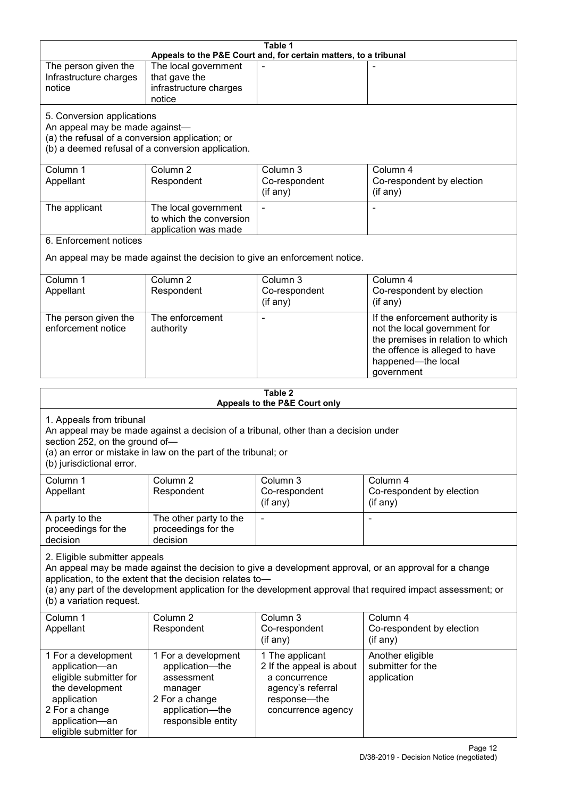| Table 1<br>Appeals to the P&E Court and, for certain matters, to a tribunal                                                                                                    |                                                                                                                                                       |                                       |                                                                                                                                                                                                                        |  |
|--------------------------------------------------------------------------------------------------------------------------------------------------------------------------------|-------------------------------------------------------------------------------------------------------------------------------------------------------|---------------------------------------|------------------------------------------------------------------------------------------------------------------------------------------------------------------------------------------------------------------------|--|
| The person given the<br>Infrastructure charges<br>notice                                                                                                                       | The local government<br>that gave the<br>infrastructure charges                                                                                       |                                       |                                                                                                                                                                                                                        |  |
| notice<br>5. Conversion applications<br>An appeal may be made against-<br>(a) the refusal of a conversion application; or<br>(b) a deemed refusal of a conversion application. |                                                                                                                                                       |                                       |                                                                                                                                                                                                                        |  |
| Column 1<br>Appellant                                                                                                                                                          | Column <sub>2</sub><br>Respondent                                                                                                                     | Column 3<br>Co-respondent<br>(if any) | Column 4<br>Co-respondent by election<br>(if any)                                                                                                                                                                      |  |
| The applicant                                                                                                                                                                  | The local government<br>to which the conversion<br>application was made                                                                               | $\blacksquare$                        |                                                                                                                                                                                                                        |  |
| 6. Enforcement notices                                                                                                                                                         | An appeal may be made against the decision to give an enforcement notice.                                                                             |                                       |                                                                                                                                                                                                                        |  |
| Column <sub>1</sub><br>Appellant                                                                                                                                               | Column <sub>2</sub><br>Respondent                                                                                                                     | Column 3<br>Co-respondent<br>(if any) | Column 4<br>Co-respondent by election<br>(if any)                                                                                                                                                                      |  |
| The person given the<br>enforcement notice                                                                                                                                     | The enforcement<br>authority                                                                                                                          |                                       | If the enforcement authority is<br>not the local government for<br>the premises in relation to which<br>the offence is alleged to have<br>happened-the local<br>government                                             |  |
| Table 2                                                                                                                                                                        |                                                                                                                                                       |                                       |                                                                                                                                                                                                                        |  |
|                                                                                                                                                                                |                                                                                                                                                       |                                       |                                                                                                                                                                                                                        |  |
| 1. Appeals from tribunal<br>section 252, on the ground of-<br>(b) jurisdictional error.                                                                                        | An appeal may be made against a decision of a tribunal, other than a decision under<br>(a) an error or mistake in law on the part of the tribunal; or | Appeals to the P&E Court only         |                                                                                                                                                                                                                        |  |
| Column 1<br>Appellant                                                                                                                                                          | Column <sub>2</sub><br>Respondent                                                                                                                     | Column 3<br>Co-respondent<br>(if any) | Column 4<br>Co-respondent by election<br>(if any)                                                                                                                                                                      |  |
| A party to the<br>proceedings for the<br>decision                                                                                                                              | The other party to the<br>proceedings for the<br>decision                                                                                             |                                       | $\blacksquare$                                                                                                                                                                                                         |  |
| 2. Eligible submitter appeals<br>(b) a variation request.                                                                                                                      | application, to the extent that the decision relates to-                                                                                              |                                       | An appeal may be made against the decision to give a development approval, or an approval for a change<br>(a) any part of the development application for the development approval that required impact assessment; or |  |
| Column 1<br>Appellant                                                                                                                                                          | Column <sub>2</sub><br>Respondent                                                                                                                     | Column 3<br>Co-respondent<br>(if any) | Column 4<br>Co-respondent by election<br>(if any)                                                                                                                                                                      |  |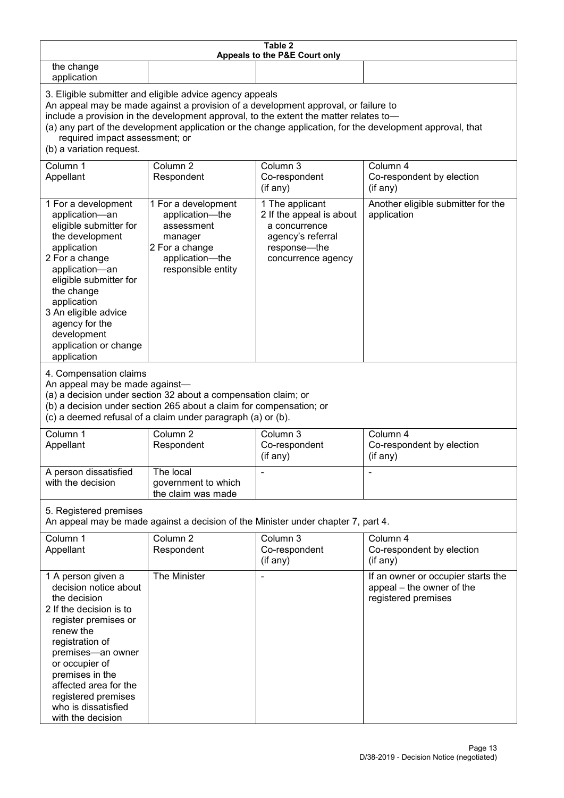| Table 2<br>Appeals to the P&E Court only                                                                                                                                                                                                                                                                                                                                                                           |                                                                                                                            |                                                                                                                         |                                                                                        |  |
|--------------------------------------------------------------------------------------------------------------------------------------------------------------------------------------------------------------------------------------------------------------------------------------------------------------------------------------------------------------------------------------------------------------------|----------------------------------------------------------------------------------------------------------------------------|-------------------------------------------------------------------------------------------------------------------------|----------------------------------------------------------------------------------------|--|
| the change<br>application                                                                                                                                                                                                                                                                                                                                                                                          |                                                                                                                            |                                                                                                                         |                                                                                        |  |
| 3. Eligible submitter and eligible advice agency appeals<br>An appeal may be made against a provision of a development approval, or failure to<br>include a provision in the development approval, to the extent the matter relates to-<br>(a) any part of the development application or the change application, for the development approval, that<br>required impact assessment; or<br>(b) a variation request. |                                                                                                                            |                                                                                                                         |                                                                                        |  |
| Column 1<br>Appellant                                                                                                                                                                                                                                                                                                                                                                                              | Column <sub>2</sub><br>Respondent                                                                                          | Column $3$<br>Co-respondent<br>(if any)                                                                                 | Column 4<br>Co-respondent by election<br>(if any)                                      |  |
| 1 For a development<br>application-an<br>eligible submitter for<br>the development<br>application<br>2 For a change<br>application-an<br>eligible submitter for<br>the change<br>application<br>3 An eligible advice<br>agency for the<br>development<br>application or change<br>application                                                                                                                      | 1 For a development<br>application-the<br>assessment<br>manager<br>2 For a change<br>application-the<br>responsible entity | 1 The applicant<br>2 If the appeal is about<br>a concurrence<br>agency's referral<br>response-the<br>concurrence agency | Another eligible submitter for the<br>application                                      |  |
| 4. Compensation claims<br>An appeal may be made against-<br>(a) a decision under section 32 about a compensation claim; or<br>(b) a decision under section 265 about a claim for compensation; or<br>(c) a deemed refusal of a claim under paragraph (a) or (b).                                                                                                                                                   |                                                                                                                            |                                                                                                                         |                                                                                        |  |
| Column 1<br>Appellant                                                                                                                                                                                                                                                                                                                                                                                              | Column <sub>2</sub><br>Respondent                                                                                          | Column 3<br>Co-respondent<br>(if any)                                                                                   | Column 4<br>Co-respondent by election<br>(if any)                                      |  |
| A person dissatisfied<br>with the decision                                                                                                                                                                                                                                                                                                                                                                         | The local<br>government to which<br>the claim was made                                                                     | $\blacksquare$                                                                                                          |                                                                                        |  |
| 5. Registered premises<br>An appeal may be made against a decision of the Minister under chapter 7, part 4.                                                                                                                                                                                                                                                                                                        |                                                                                                                            |                                                                                                                         |                                                                                        |  |
| Column 1<br>Appellant                                                                                                                                                                                                                                                                                                                                                                                              | Column <sub>2</sub><br>Respondent                                                                                          | Column 3<br>Co-respondent<br>(if any)                                                                                   | Column 4<br>Co-respondent by election<br>(if any)                                      |  |
| 1 A person given a<br>decision notice about<br>the decision<br>2 If the decision is to<br>register premises or<br>renew the<br>registration of<br>premises-an owner<br>or occupier of<br>premises in the<br>affected area for the<br>registered premises<br>who is dissatisfied<br>with the decision                                                                                                               | The Minister                                                                                                               |                                                                                                                         | If an owner or occupier starts the<br>appeal – the owner of the<br>registered premises |  |